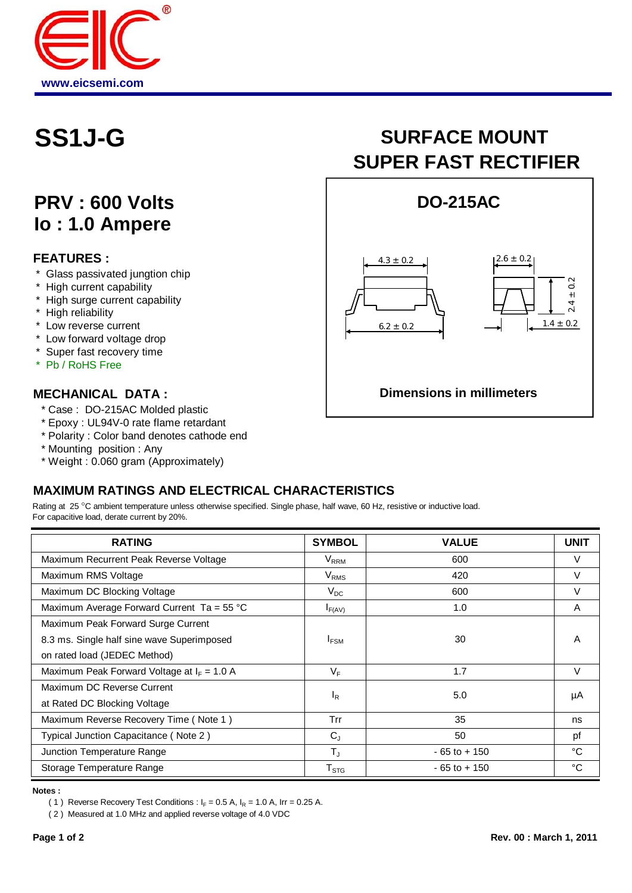

## **PRV : 600 Volts Io : 1.0 Ampere**

#### **FEATURES :**

- \* Glass passivated jungtion chip
- \* High current capability
- \* High surge current capability
- \* High reliability
- \* Low reverse current
- \* Low forward voltage drop
- \* Super fast recovery time
- \* Pb / RoHS Free

#### **MECHANICAL DATA :**

- \* Case : DO-215AC Molded plastic
- \* Epoxy : UL94V-0 rate flame retardant
- \* Polarity : Color band denotes cathode end
- \* Mounting position : Any
- \* Weight : 0.060 gram (Approximately)

# SS1J-G SURFACE MOUNT **SUPER FAST RECTIFIER**



### **MAXIMUM RATINGS AND ELECTRICAL CHARACTERISTICS**

Rating at 25 °C ambient temperature unless otherwise specified. Single phase, half wave, 60 Hz, resistive or inductive load. For capacitive load, derate current by 20%.

| <b>RATING</b>                                       | <b>SYMBOL</b>  | <b>VALUE</b>    | <b>UNIT</b> |
|-----------------------------------------------------|----------------|-----------------|-------------|
| Maximum Recurrent Peak Reverse Voltage              | $V_{RRM}$      | 600             | V           |
| Maximum RMS Voltage                                 | $V_{RMS}$      | 420             | $\vee$      |
| Maximum DC Blocking Voltage                         | $V_{DC}$       | 600             | $\vee$      |
| Maximum Average Forward Current Ta = $55^{\circ}$ C | $I_{F(AV)}$    | 1.0             | A           |
| Maximum Peak Forward Surge Current                  |                |                 |             |
| 8.3 ms. Single half sine wave Superimposed          | <b>IFSM</b>    | 30              | A           |
| on rated load (JEDEC Method)                        |                |                 |             |
| Maximum Peak Forward Voltage at $I_F = 1.0 A$       | $V_{\rm F}$    | 1.7             | $\vee$      |
| Maximum DC Reverse Current                          | <sup>I</sup> R | 5.0             | μA          |
| at Rated DC Blocking Voltage                        |                |                 |             |
| Maximum Reverse Recovery Time (Note 1)              | Trr            | 35              | ns          |
| Typical Junction Capacitance (Note 2)               | $C_{J}$        | 50              | pf          |
| Junction Temperature Range                          | $T_{\rm J}$    | $-65$ to $+150$ | °C          |
| Storage Temperature Range                           | $T_{STG}$      | $-65$ to $+150$ | °C          |

**Notes :**

( 1 ) Reverse Recovery Test Conditions :  $I_F = 0.5$  A,  $I_R = 1.0$  A, Irr = 0.25 A.

( 2 ) Measured at 1.0 MHz and applied reverse voltage of 4.0 VDC